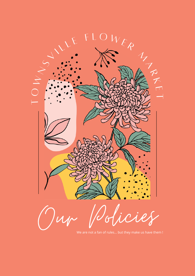

We are not a fan of rules... but they make us have them !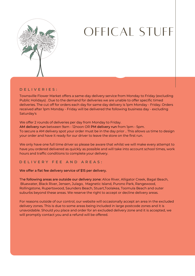

# OFFICAL STUFF

#### **D E L I V E R I E S :**

Townsville Flower Market offers a same-day delivery service from Monday to Friday (excluding Public Holidays) . Due to the demand for deliveries we are unable to offer specific timed deliveries. The cut off for orders each day for same day delivery is 1pm Monday - Friday. Orders received after 1pm Monday - Friday will be delivered the following business day - excluding Saturday's

We offer 2 rounds of deliveries per day from Monday to Friday.

AM delivery run between 9am - 12noon OR PM delivery run from 1pm - 5pm. To secure a AM delivery spot your order must be in the day prior .. This allows us time to design your order and have it ready for our driver to leave the store on the first run.

We only have one full time driver so please be aware that whilst we will make every attempt to have you ordered delivered as quickly as possible and will take into account school times, work hours and traffic conditions to complete your delivery.

#### **D E L I V E R Y F E E A N D A R E A S :**

We offer a flat fee delivery service of \$15 per delivery.

The following areas are outside our delivery zone: Alice River, Alligator Creek, Bagal Beach, Bluewater, Black River, Jensen, Julago, Magnetic Island, Purono Park, Rangewood, Rollingstone, Rupertswood, Saunders Beach, Stuart,Toolakea, Toomula Beach and outer suburbs beyond these areas. We reserve the right to accept or decline delivery areas.

For reasons outside of our control, our website will occasionally accept an area in the excluded delivery zones. This is due to some areas being included in large postcode zones and it is unavoidable. Should you place and order for an excluded delivery zone and it is accepted, we will promptly contact you and a refund will be offered.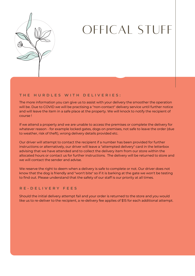

## OFFICAL STUFF

#### **T H E H U R D L E S W I T H D E L I V E R I E S :**

The more information you can give us to assist with your delivery the smoother the operation will be. Due to COVID we will be practising a "non-contact" delivery service until further notice and will leave the item in a safe place at the property. We will knock to notify the recipient of course !

If we attend a property and we are unable to access the premises or complete the delivery for whatever reason - for example locked gates, dogs on premises, not safe to leave the order (due to weather, risk of theft), wrong delivery details provided etc.

Our driver will attempt to contact the recipient if a number has been provided for further instructions or alternatively, our driver will leave a "attempted delivery" card in the letterbox advising that we have attended and to collect the delivery item from our store within the allocated hours or contact us for further instructions. The delivery will be returned to store and we will contact the sender and advise.

We reserve the right to deem when a delivery is safe to complete or not. Our driver does not know that the dog is friendly and "won't bite" so if it is barking at the gate we won't be testing to find out. Please understand that the safety of our staff is our priority at all times.

#### **R E - D E L I V E R Y F E E S**

Should the initial delivery attempt fail and your order is returned to the store and you would like us to re-deliver to the recipient, a re-delivery fee applies of \$15 for each additional attempt.